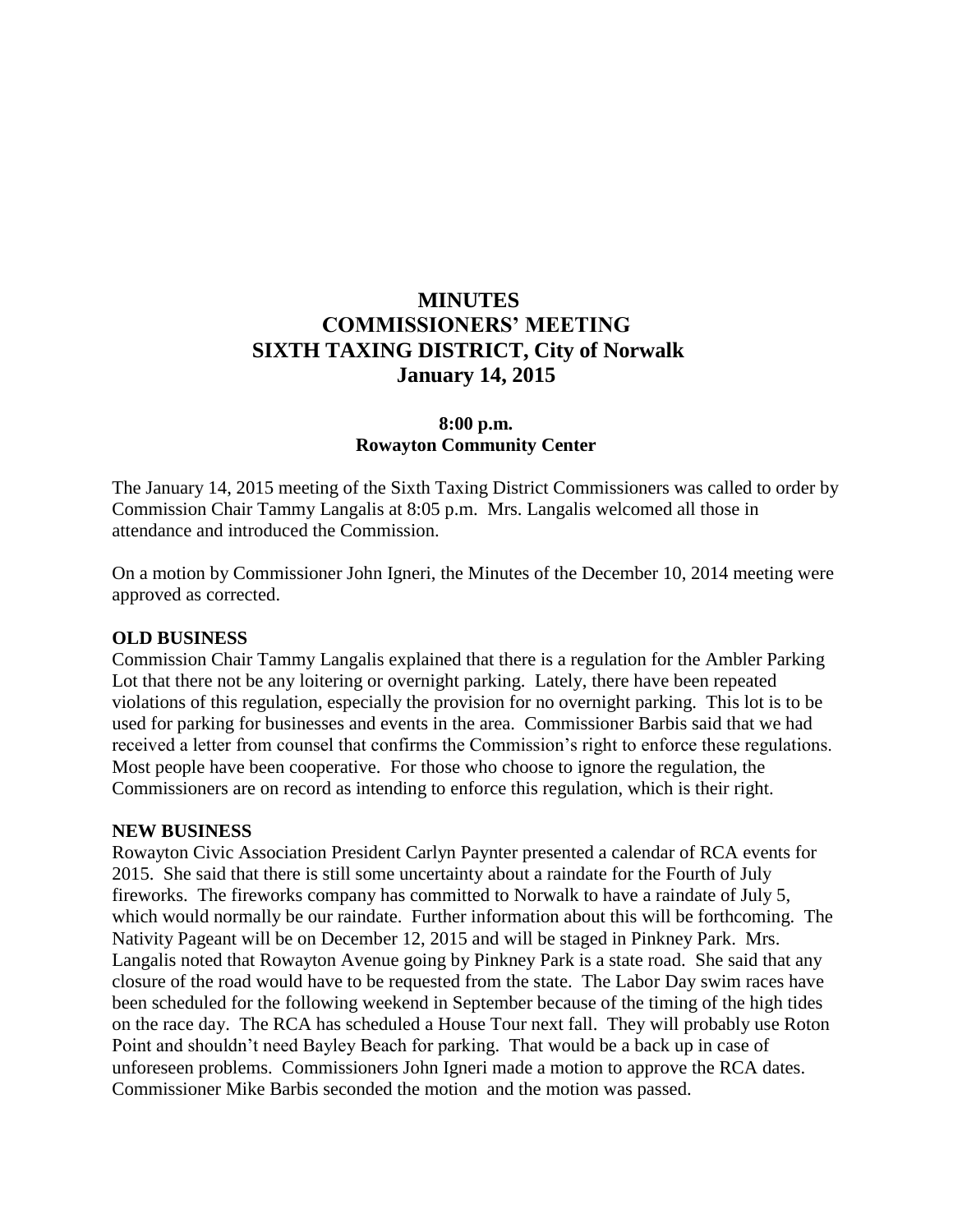# **MINUTES COMMISSIONERS' MEETING SIXTH TAXING DISTRICT, City of Norwalk January 14, 2015**

#### **8:00 p.m. Rowayton Community Center**

The January 14, 2015 meeting of the Sixth Taxing District Commissioners was called to order by Commission Chair Tammy Langalis at 8:05 p.m. Mrs. Langalis welcomed all those in attendance and introduced the Commission.

On a motion by Commissioner John Igneri, the Minutes of the December 10, 2014 meeting were approved as corrected.

#### **OLD BUSINESS**

Commission Chair Tammy Langalis explained that there is a regulation for the Ambler Parking Lot that there not be any loitering or overnight parking. Lately, there have been repeated violations of this regulation, especially the provision for no overnight parking. This lot is to be used for parking for businesses and events in the area. Commissioner Barbis said that we had received a letter from counsel that confirms the Commission's right to enforce these regulations. Most people have been cooperative. For those who choose to ignore the regulation, the Commissioners are on record as intending to enforce this regulation, which is their right.

#### **NEW BUSINESS**

Rowayton Civic Association President Carlyn Paynter presented a calendar of RCA events for 2015. She said that there is still some uncertainty about a raindate for the Fourth of July fireworks. The fireworks company has committed to Norwalk to have a raindate of July 5, which would normally be our raindate. Further information about this will be forthcoming. The Nativity Pageant will be on December 12, 2015 and will be staged in Pinkney Park. Mrs. Langalis noted that Rowayton Avenue going by Pinkney Park is a state road. She said that any closure of the road would have to be requested from the state. The Labor Day swim races have been scheduled for the following weekend in September because of the timing of the high tides on the race day. The RCA has scheduled a House Tour next fall. They will probably use Roton Point and shouldn't need Bayley Beach for parking. That would be a back up in case of unforeseen problems. Commissioners John Igneri made a motion to approve the RCA dates. Commissioner Mike Barbis seconded the motion and the motion was passed.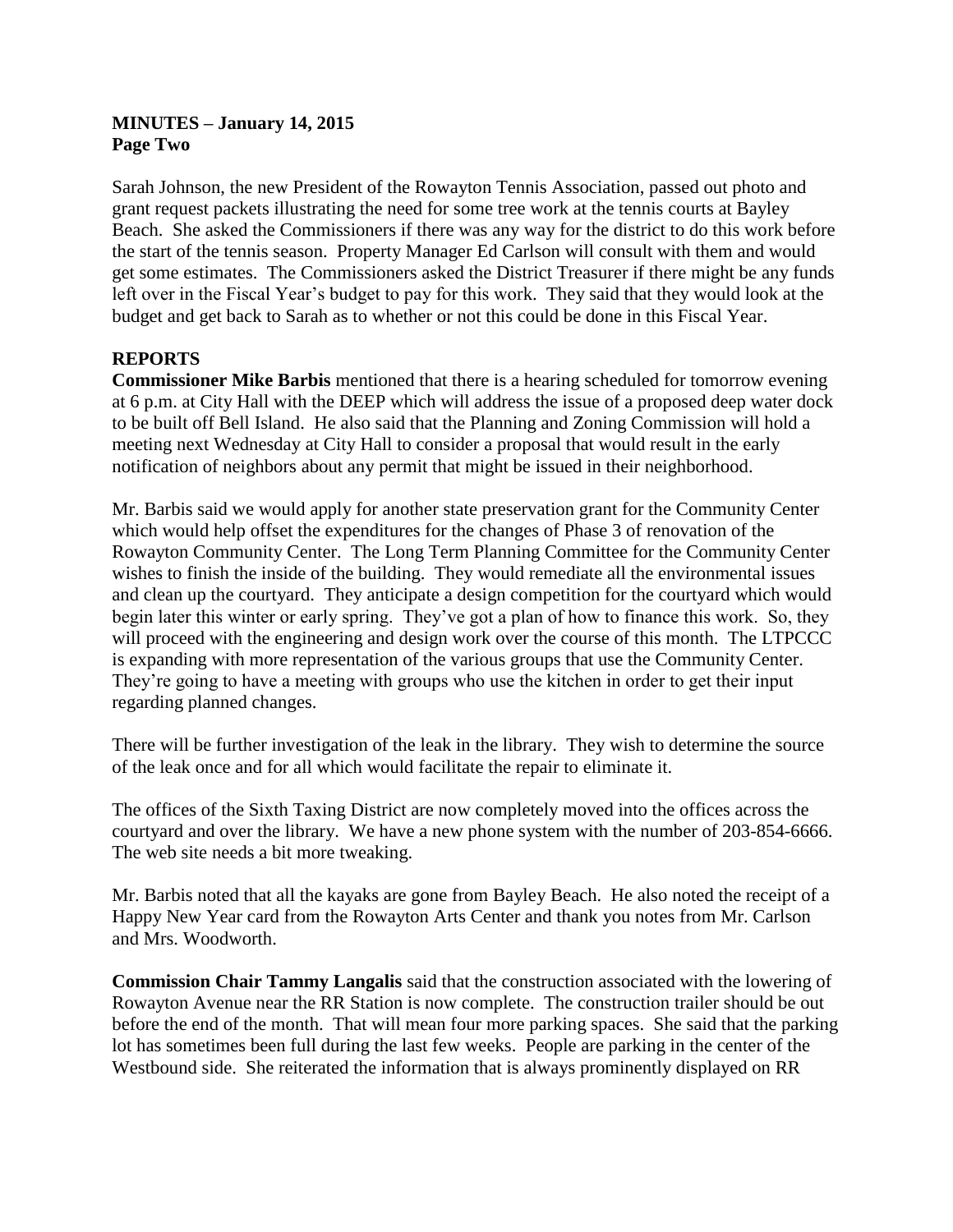# **MINUTES – January 14, 2015 Page Two**

Sarah Johnson, the new President of the Rowayton Tennis Association, passed out photo and grant request packets illustrating the need for some tree work at the tennis courts at Bayley Beach. She asked the Commissioners if there was any way for the district to do this work before the start of the tennis season. Property Manager Ed Carlson will consult with them and would get some estimates. The Commissioners asked the District Treasurer if there might be any funds left over in the Fiscal Year's budget to pay for this work. They said that they would look at the budget and get back to Sarah as to whether or not this could be done in this Fiscal Year.

# **REPORTS**

**Commissioner Mike Barbis** mentioned that there is a hearing scheduled for tomorrow evening at 6 p.m. at City Hall with the DEEP which will address the issue of a proposed deep water dock to be built off Bell Island. He also said that the Planning and Zoning Commission will hold a meeting next Wednesday at City Hall to consider a proposal that would result in the early notification of neighbors about any permit that might be issued in their neighborhood.

Mr. Barbis said we would apply for another state preservation grant for the Community Center which would help offset the expenditures for the changes of Phase 3 of renovation of the Rowayton Community Center. The Long Term Planning Committee for the Community Center wishes to finish the inside of the building. They would remediate all the environmental issues and clean up the courtyard. They anticipate a design competition for the courtyard which would begin later this winter or early spring. They've got a plan of how to finance this work. So, they will proceed with the engineering and design work over the course of this month. The LTPCCC is expanding with more representation of the various groups that use the Community Center. They're going to have a meeting with groups who use the kitchen in order to get their input regarding planned changes.

There will be further investigation of the leak in the library. They wish to determine the source of the leak once and for all which would facilitate the repair to eliminate it.

The offices of the Sixth Taxing District are now completely moved into the offices across the courtyard and over the library. We have a new phone system with the number of 203-854-6666. The web site needs a bit more tweaking.

Mr. Barbis noted that all the kayaks are gone from Bayley Beach. He also noted the receipt of a Happy New Year card from the Rowayton Arts Center and thank you notes from Mr. Carlson and Mrs. Woodworth.

**Commission Chair Tammy Langalis** said that the construction associated with the lowering of Rowayton Avenue near the RR Station is now complete. The construction trailer should be out before the end of the month. That will mean four more parking spaces. She said that the parking lot has sometimes been full during the last few weeks. People are parking in the center of the Westbound side. She reiterated the information that is always prominently displayed on RR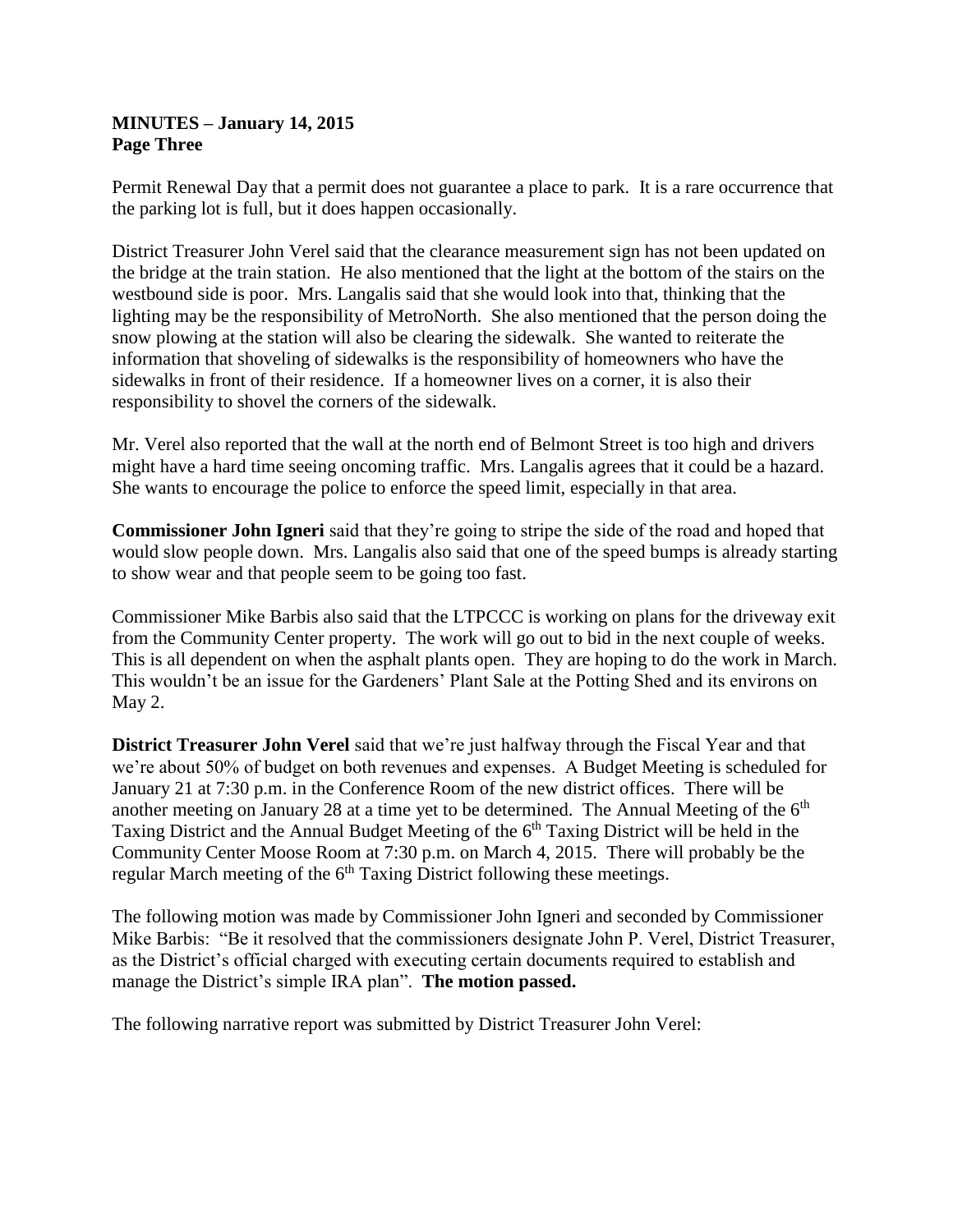## **MINUTES – January 14, 2015 Page Three**

Permit Renewal Day that a permit does not guarantee a place to park. It is a rare occurrence that the parking lot is full, but it does happen occasionally.

District Treasurer John Verel said that the clearance measurement sign has not been updated on the bridge at the train station. He also mentioned that the light at the bottom of the stairs on the westbound side is poor. Mrs. Langalis said that she would look into that, thinking that the lighting may be the responsibility of MetroNorth. She also mentioned that the person doing the snow plowing at the station will also be clearing the sidewalk. She wanted to reiterate the information that shoveling of sidewalks is the responsibility of homeowners who have the sidewalks in front of their residence. If a homeowner lives on a corner, it is also their responsibility to shovel the corners of the sidewalk.

Mr. Verel also reported that the wall at the north end of Belmont Street is too high and drivers might have a hard time seeing oncoming traffic. Mrs. Langalis agrees that it could be a hazard. She wants to encourage the police to enforce the speed limit, especially in that area.

**Commissioner John Igneri** said that they're going to stripe the side of the road and hoped that would slow people down. Mrs. Langalis also said that one of the speed bumps is already starting to show wear and that people seem to be going too fast.

Commissioner Mike Barbis also said that the LTPCCC is working on plans for the driveway exit from the Community Center property. The work will go out to bid in the next couple of weeks. This is all dependent on when the asphalt plants open. They are hoping to do the work in March. This wouldn't be an issue for the Gardeners' Plant Sale at the Potting Shed and its environs on May 2.

**District Treasurer John Verel** said that we're just halfway through the Fiscal Year and that we're about 50% of budget on both revenues and expenses. A Budget Meeting is scheduled for January 21 at 7:30 p.m. in the Conference Room of the new district offices. There will be another meeting on January 28 at a time yet to be determined. The Annual Meeting of the  $6<sup>th</sup>$ Taxing District and the Annual Budget Meeting of the 6<sup>th</sup> Taxing District will be held in the Community Center Moose Room at 7:30 p.m. on March 4, 2015. There will probably be the regular March meeting of the  $6<sup>th</sup>$  Taxing District following these meetings.

The following motion was made by Commissioner John Igneri and seconded by Commissioner Mike Barbis: "Be it resolved that the commissioners designate John P. Verel, District Treasurer, as the District's official charged with executing certain documents required to establish and manage the District's simple IRA plan". **The motion passed.**

The following narrative report was submitted by District Treasurer John Verel: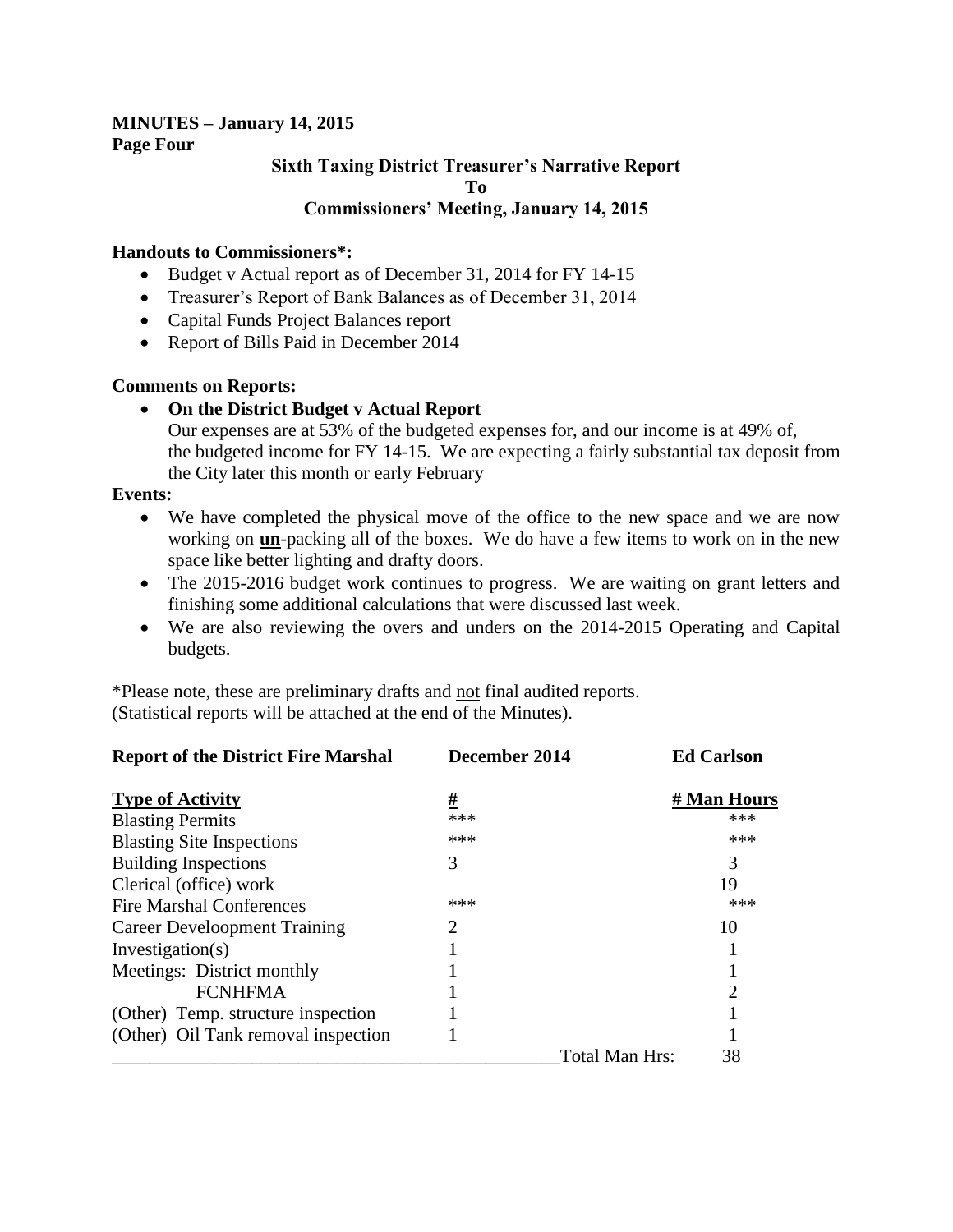## **MINUTES – January 14, 2015 Page Four**

#### **Sixth Taxing District Treasurer's Narrative Report To Commissioners' Meeting, January 14, 2015**

# **Handouts to Commissioners\*:**

- Budget v Actual report as of December 31, 2014 for FY 14-15
- Treasurer's Report of Bank Balances as of December 31, 2014
- Capital Funds Project Balances report
- Report of Bills Paid in December 2014

#### **Comments on Reports:**

### **On the District Budget v Actual Report**

Our expenses are at 53% of the budgeted expenses for, and our income is at 49% of, the budgeted income for FY 14-15. We are expecting a fairly substantial tax deposit from the City later this month or early February

#### **Events:**

- We have completed the physical move of the office to the new space and we are now working on **un**-packing all of the boxes. We do have a few items to work on in the new space like better lighting and drafty doors.
- The 2015-2016 budget work continues to progress. We are waiting on grant letters and finishing some additional calculations that were discussed last week.
- We are also reviewing the overs and unders on the 2014-2015 Operating and Capital budgets.

\*Please note, these are preliminary drafts and not final audited reports. (Statistical reports will be attached at the end of the Minutes).

| <b>Report of the District Fire Marshal</b> | December 2014 |                | <b>Ed Carlson</b> |
|--------------------------------------------|---------------|----------------|-------------------|
| <b>Type of Activity</b>                    | <u>#</u>      |                | # Man Hours       |
| <b>Blasting Permits</b>                    | ***           |                | ***               |
| <b>Blasting Site Inspections</b>           | ***           |                | ***               |
| <b>Building Inspections</b>                | 3             |                | 3                 |
| Clerical (office) work                     |               |                | 19                |
| <b>Fire Marshal Conferences</b>            | ***           |                | ***               |
| <b>Career Develoopment Training</b>        | 2             |                | 10                |
| Investigation(s)                           |               |                |                   |
| Meetings: District monthly                 |               |                |                   |
| <b>FCNHFMA</b>                             |               |                | $\overline{c}$    |
| (Other) Temp. structure inspection         |               |                |                   |
| (Other) Oil Tank removal inspection        |               |                |                   |
|                                            |               | Total Man Hrs: | 38                |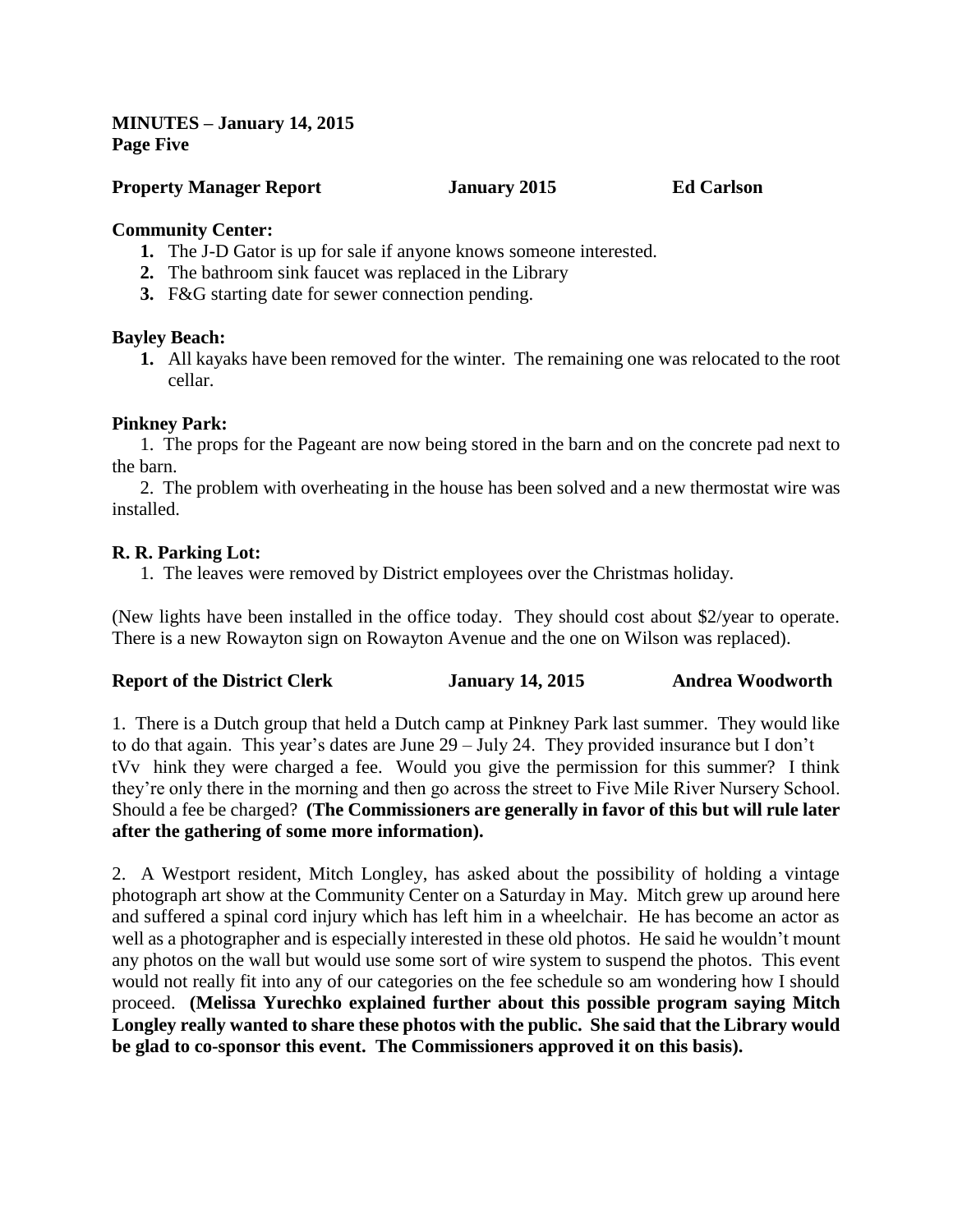**MINUTES – January 14, 2015 Page Five**

#### **Property Manager Report January 2015 Ed Carlson**

#### **Community Center:**

- **1.** The J-D Gator is up for sale if anyone knows someone interested.
- **2.** The bathroom sink faucet was replaced in the Library
- **3.** F&G starting date for sewer connection pending.

#### **Bayley Beach:**

**1.** All kayaks have been removed for the winter. The remaining one was relocated to the root cellar.

#### **Pinkney Park:**

 1. The props for the Pageant are now being stored in the barn and on the concrete pad next to the barn.

 2. The problem with overheating in the house has been solved and a new thermostat wire was installed.

#### **R. R. Parking Lot:**

1. The leaves were removed by District employees over the Christmas holiday.

(New lights have been installed in the office today. They should cost about \$2/year to operate. There is a new Rowayton sign on Rowayton Avenue and the one on Wilson was replaced).

| <b>Report of the District Clerk</b> | <b>January 14, 2015</b> | <b>Andrea Woodworth</b> |
|-------------------------------------|-------------------------|-------------------------|
|                                     |                         |                         |

1. There is a Dutch group that held a Dutch camp at Pinkney Park last summer. They would like to do that again. This year's dates are June 29 – July 24. They provided insurance but I don't tVv hink they were charged a fee. Would you give the permission for this summer? I think they're only there in the morning and then go across the street to Five Mile River Nursery School. Should a fee be charged? **(The Commissioners are generally in favor of this but will rule later after the gathering of some more information).**

2. A Westport resident, Mitch Longley, has asked about the possibility of holding a vintage photograph art show at the Community Center on a Saturday in May. Mitch grew up around here and suffered a spinal cord injury which has left him in a wheelchair. He has become an actor as well as a photographer and is especially interested in these old photos. He said he wouldn't mount any photos on the wall but would use some sort of wire system to suspend the photos. This event would not really fit into any of our categories on the fee schedule so am wondering how I should proceed. **(Melissa Yurechko explained further about this possible program saying Mitch Longley really wanted to share these photos with the public. She said that the Library would be glad to co-sponsor this event. The Commissioners approved it on this basis).**